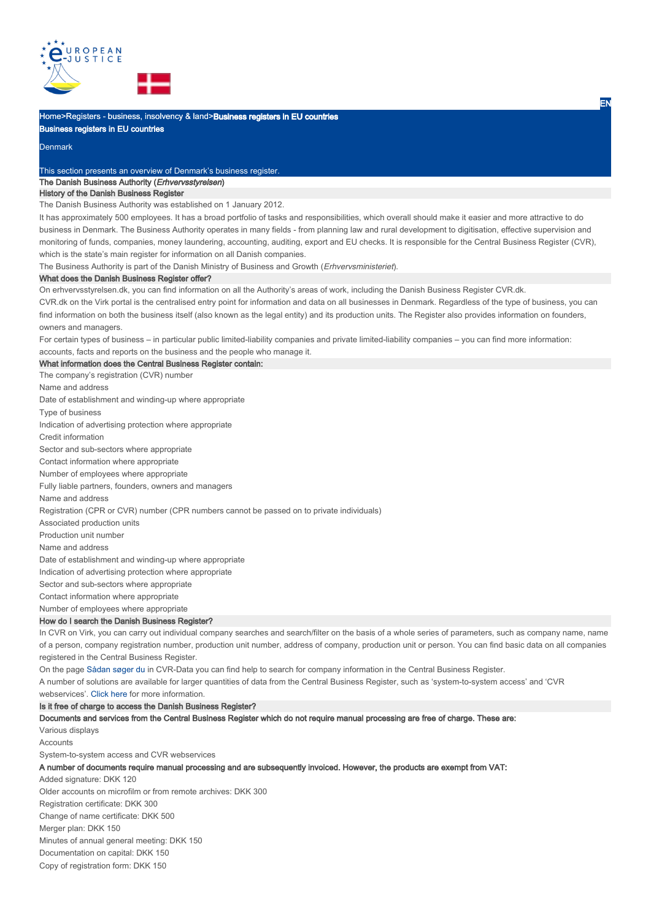

Home>Registers - business, insolvency & land>**Business registers in EU countries** 

Business registers in EU countries

### **Denmark**

This section presents an overview of Denmark's business register.

# The Danish Business Authority (Erhvervsstyrelsen)

# History of the Danish Business Register

The Danish Business Authority was established on 1 January 2012.

It has approximately 500 employees. It has a broad portfolio of tasks and responsibilities, which overall should make it easier and more attractive to do business in Denmark. The Business Authority operates in many fields - from planning law and rural development to digitisation, effective supervision and monitoring of funds, companies, money laundering, accounting, auditing, export and EU checks. It is responsible for the Central Business Register (CVR), which is the state's main register for information on all Danish companies.

The Business Authority is part of the Danish Ministry of Business and Growth (Erhvervsministeriet).

#### What does the Danish Business Register offer?

On erhvervsstyrelsen.dk, you can find information on all the Authority's areas of work, including the Danish Business Register CVR.dk.

CVR.dk on the Virk portal is the centralised entry point for information and data on all businesses in Denmark. Regardless of the type of business, you can find information on both the business itself (also known as the legal entity) and its production units. The Register also provides information on founders, owners and managers.

For certain types of business – in particular public limited-liability companies and private limited-liability companies – you can find more information: accounts, facts and reports on the business and the people who manage it.

What information does the Central Business Register contain:

The company's registration (CVR) number

Name and address

Date of establishment and winding-up where appropriate

Type of business

Indication of advertising protection where appropriate

Credit information

Sector and sub-sectors where appropriate

Contact information where appropriate

Number of employees where appropriate

Fully liable partners, founders, owners and managers

Name and address

Registration (CPR or CVR) number (CPR numbers cannot be passed on to private individuals)

Associated production units

Production unit number

Name and address

Date of establishment and winding-up where appropriate

Indication of advertising protection where appropriate

Sector and sub-sectors where appropriate

Contact information where appropriate

Number of employees where appropriate

## How do I search the Danish Business Register?

In CVR on Virk, you can carry out individual company searches and search/filter on the basis of a whole series of parameters, such as company name, name of a person, company registration number, production unit number, address of company, production unit or person. You can find basic data on all companies registered in the Central Business Register.

On the page Sådan søger du in CVR-Data you can find help to search for company information in the Central Business Register.

A number of solutions are available for larger quantities of data from the Central Business Register, such as 'system-to-system access' and 'CVR

webservices'. Click here for more information.

## Is it free of charge to access the Danish Business Register?

Documents and services from the Central Business Register which do not require manual processing are free of charge. These are:

Various displays

**Accounts** 

System-to-system access and CVR webservices

A number of documents require manual processing and are subsequently invoiced. However, the products are exempt from VAT:

Added signature: DKK 120 Older accounts on microfilm or from remote archives: DKK 300 Registration certificate: DKK 300 Change of name certificate: DKK 500 Merger plan: DKK 150 Minutes of annual general meeting: DKK 150 Documentation on capital: DKK 150 Copy of registration form: DKK 150

EN